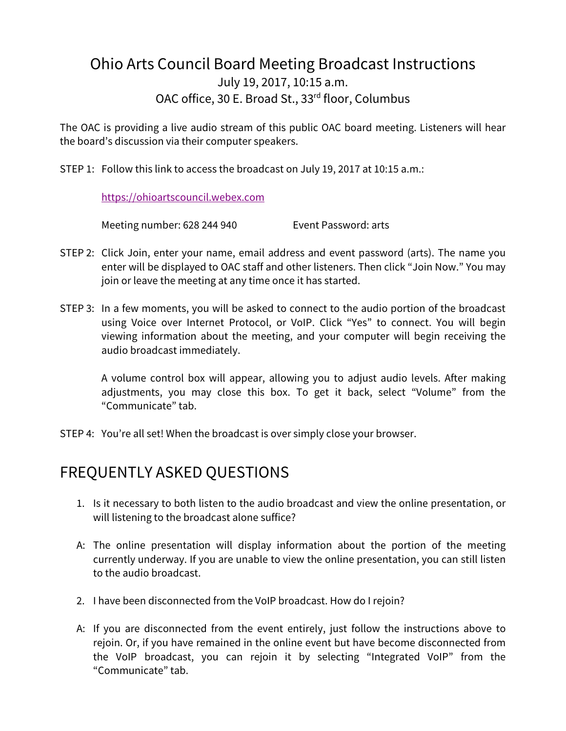## Ohio Arts Council Board Meeting Broadcast Instructions July 19, 2017, 10:15 a.m. OAC office, 30 E. Broad St., 33<sup>rd</sup> floor, Columbus

The OAC is providing a live audio stream of this public OAC board meeting. Listeners will hear the board's discussion via their computer speakers.

STEP 1: Follow this link to access the broadcast on July 19, 2017 at 10:15 a.m.:

[https://ohioartscouncil.webex.com](https://ohioartscouncil.webex.com/) 

Meeting number: 628 244 940 Event Password: arts

- STEP 2: Click Join, enter your name, email address and event password (arts). The name you enter will be displayed to OAC staff and other listeners. Then click "Join Now." You may join or leave the meeting at any time once it has started.
- STEP 3: In a few moments, you will be asked to connect to the audio portion of the broadcast using Voice over Internet Protocol, or VoIP. Click "Yes" to connect. You will begin viewing information about the meeting, and your computer will begin receiving the audio broadcast immediately.

A volume control box will appear, allowing you to adjust audio levels. After making adjustments, you may close this box. To get it back, select "Volume" from the "Communicate" tab.

STEP 4: You're all set! When the broadcast is over simply close your browser.

## FREQUENTLY ASKED QUESTIONS

- 1. Is it necessary to both listen to the audio broadcast and view the online presentation, or will listening to the broadcast alone suffice?
- A: The online presentation will display information about the portion of the meeting currently underway. If you are unable to view the online presentation, you can still listen to the audio broadcast.
- 2. I have been disconnected from the VoIP broadcast. How do I rejoin?
- A: If you are disconnected from the event entirely, just follow the instructions above to rejoin. Or, if you have remained in the online event but have become disconnected from the VoIP broadcast, you can rejoin it by selecting "Integrated VoIP" from the "Communicate" tab.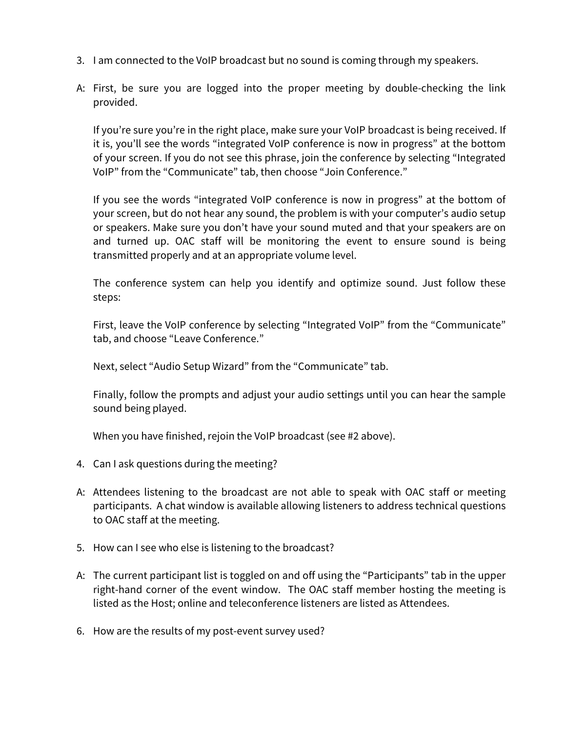- 3. I am connected to the VoIP broadcast but no sound is coming through my speakers.
- A: First, be sure you are logged into the proper meeting by double-checking the link provided.

If you're sure you're in the right place, make sure your VoIP broadcast is being received. If it is, you'll see the words "integrated VoIP conference is now in progress" at the bottom of your screen. If you do not see this phrase, join the conference by selecting "Integrated VoIP" from the "Communicate" tab, then choose "Join Conference."

If you see the words "integrated VoIP conference is now in progress" at the bottom of your screen, but do not hear any sound, the problem is with your computer's audio setup or speakers. Make sure you don't have your sound muted and that your speakers are on and turned up. OAC staff will be monitoring the event to ensure sound is being transmitted properly and at an appropriate volume level.

The conference system can help you identify and optimize sound. Just follow these steps:

First, leave the VoIP conference by selecting "Integrated VoIP" from the "Communicate" tab, and choose "Leave Conference."

Next, select "Audio Setup Wizard" from the "Communicate" tab.

Finally, follow the prompts and adjust your audio settings until you can hear the sample sound being played.

When you have finished, rejoin the VoIP broadcast (see #2 above).

- 4. Can I ask questions during the meeting?
- A: Attendees listening to the broadcast are not able to speak with OAC staff or meeting participants. A chat window is available allowing listeners to address technical questions to OAC staff at the meeting.
- 5. How can I see who else is listening to the broadcast?
- A: The current participant list is toggled on and off using the "Participants" tab in the upper right-hand corner of the event window. The OAC staff member hosting the meeting is listed as the Host; online and teleconference listeners are listed as Attendees.
- 6. How are the results of my post-event survey used?